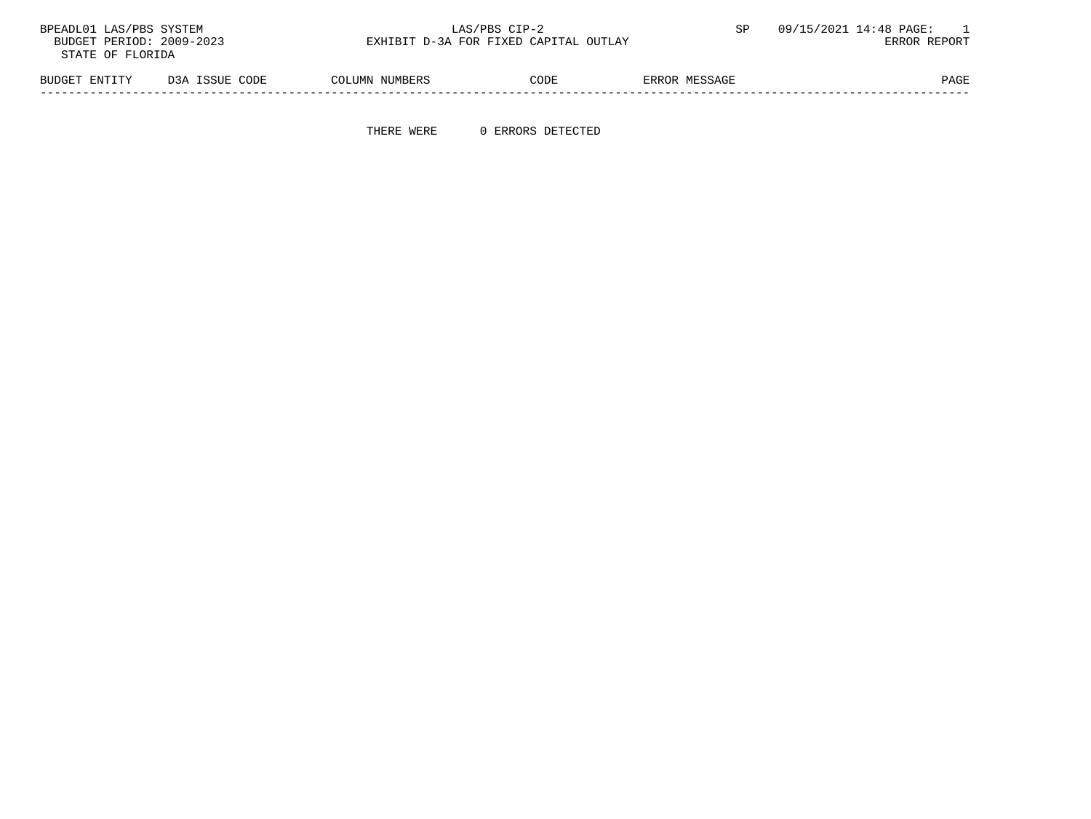| BPEADL01 LAS/PBS SYSTEM  |                | LAS/PBS CIP-2                         |      |               | 09/15/2021 14:48 PAGE: |
|--------------------------|----------------|---------------------------------------|------|---------------|------------------------|
| BUDGET PERIOD: 2009-2023 |                | EXHIBIT D-3A FOR FIXED CAPITAL OUTLAY |      |               | ERROR REPORT           |
| STATE OF FLORIDA         |                |                                       |      |               |                        |
| BUDGET ENTITY            | D3A ISSUE CODE | COLUMN NUMBERS                        | CODE | ERROR MESSAGE | PAGE                   |

-----------------------------------------------------------------------------------------------------------------------------------

THERE WERE 0 ERRORS DETECTED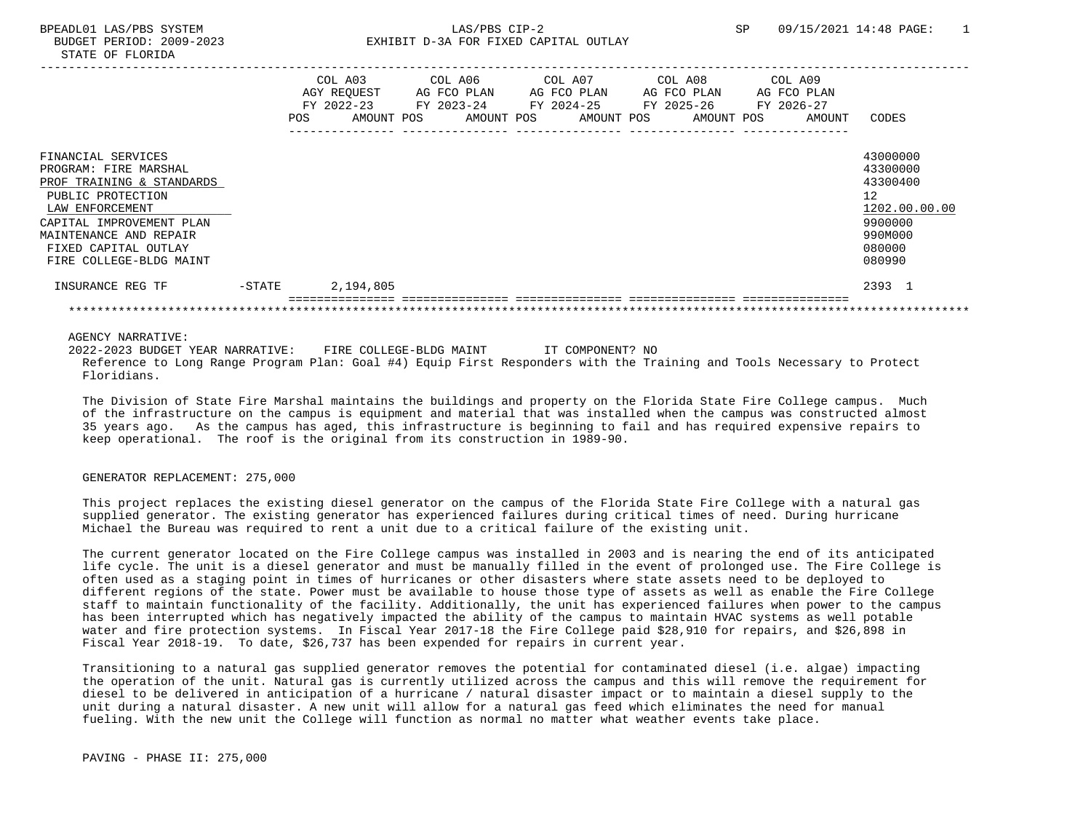## BPEADL01 LAS/PBS SYSTEM CIP-2 CH-2 SP 09/15/2021 14:48 PAGE: 1 BUDGET PERIOD: 2009-2023 EXHIBIT D-3A FOR FIXED CAPITAL OUTLAY

|                                                                                                                                                                                                                           |           | <b>POS</b> | COL A03<br>AGY REQUEST<br>$FY$ 2022-23<br>AMOUNT POS | COL A06<br>AG FCO PLAN<br>FY 2023-24<br>AMOUNT POS |  | COL A07<br>AG FCO PLAN<br>AMOUNT POS | COL A08<br>AG FCO PLAN<br>FY 2024-25 FY 2025-26<br>AMOUNT POS | COL A09<br>AG FCO PLAN<br>FY 2026-27<br>AMOUNT | CODES                                                                                             |
|---------------------------------------------------------------------------------------------------------------------------------------------------------------------------------------------------------------------------|-----------|------------|------------------------------------------------------|----------------------------------------------------|--|--------------------------------------|---------------------------------------------------------------|------------------------------------------------|---------------------------------------------------------------------------------------------------|
| FINANCIAL SERVICES<br>PROGRAM: FIRE MARSHAL<br>PROF TRAINING & STANDARDS<br>PUBLIC PROTECTION<br>LAW ENFORCEMENT<br>CAPITAL IMPROVEMENT PLAN<br>MAINTENANCE AND REPAIR<br>FIXED CAPITAL OUTLAY<br>FIRE COLLEGE-BLDG MAINT |           |            |                                                      |                                                    |  |                                      |                                                               |                                                | 43000000<br>43300000<br>43300400<br>12<br>1202.00.00.00<br>9900000<br>990M000<br>080000<br>080990 |
| INSURANCE REG TF                                                                                                                                                                                                          | $-$ STATE |            | 2,194,805                                            |                                                    |  |                                      |                                                               |                                                | 2393 1                                                                                            |
|                                                                                                                                                                                                                           |           |            |                                                      |                                                    |  |                                      |                                                               |                                                |                                                                                                   |

### AGENCY NARRATIVE:

 2022-2023 BUDGET YEAR NARRATIVE: FIRE COLLEGE-BLDG MAINT IT COMPONENT? NO Reference to Long Range Program Plan: Goal #4) Equip First Responders with the Training and Tools Necessary to Protect Floridians.

 The Division of State Fire Marshal maintains the buildings and property on the Florida State Fire College campus. Much of the infrastructure on the campus is equipment and material that was installed when the campus was constructed almost 35 years ago. As the campus has aged, this infrastructure is beginning to fail and has required expensive repairs to keep operational. The roof is the original from its construction in 1989-90.

#### GENERATOR REPLACEMENT: 275,000

 This project replaces the existing diesel generator on the campus of the Florida State Fire College with a natural gas supplied generator. The existing generator has experienced failures during critical times of need. During hurricane Michael the Bureau was required to rent a unit due to a critical failure of the existing unit.

 The current generator located on the Fire College campus was installed in 2003 and is nearing the end of its anticipated life cycle. The unit is a diesel generator and must be manually filled in the event of prolonged use. The Fire College is often used as a staging point in times of hurricanes or other disasters where state assets need to be deployed to different regions of the state. Power must be available to house those type of assets as well as enable the Fire College staff to maintain functionality of the facility. Additionally, the unit has experienced failures when power to the campus has been interrupted which has negatively impacted the ability of the campus to maintain HVAC systems as well potable water and fire protection systems. In Fiscal Year 2017-18 the Fire College paid \$28,910 for repairs, and \$26,898 in Fiscal Year 2018-19. To date, \$26,737 has been expended for repairs in current year.

 Transitioning to a natural gas supplied generator removes the potential for contaminated diesel (i.e. algae) impacting the operation of the unit. Natural gas is currently utilized across the campus and this will remove the requirement for diesel to be delivered in anticipation of a hurricane / natural disaster impact or to maintain a diesel supply to the unit during a natural disaster. A new unit will allow for a natural gas feed which eliminates the need for manual fueling. With the new unit the College will function as normal no matter what weather events take place.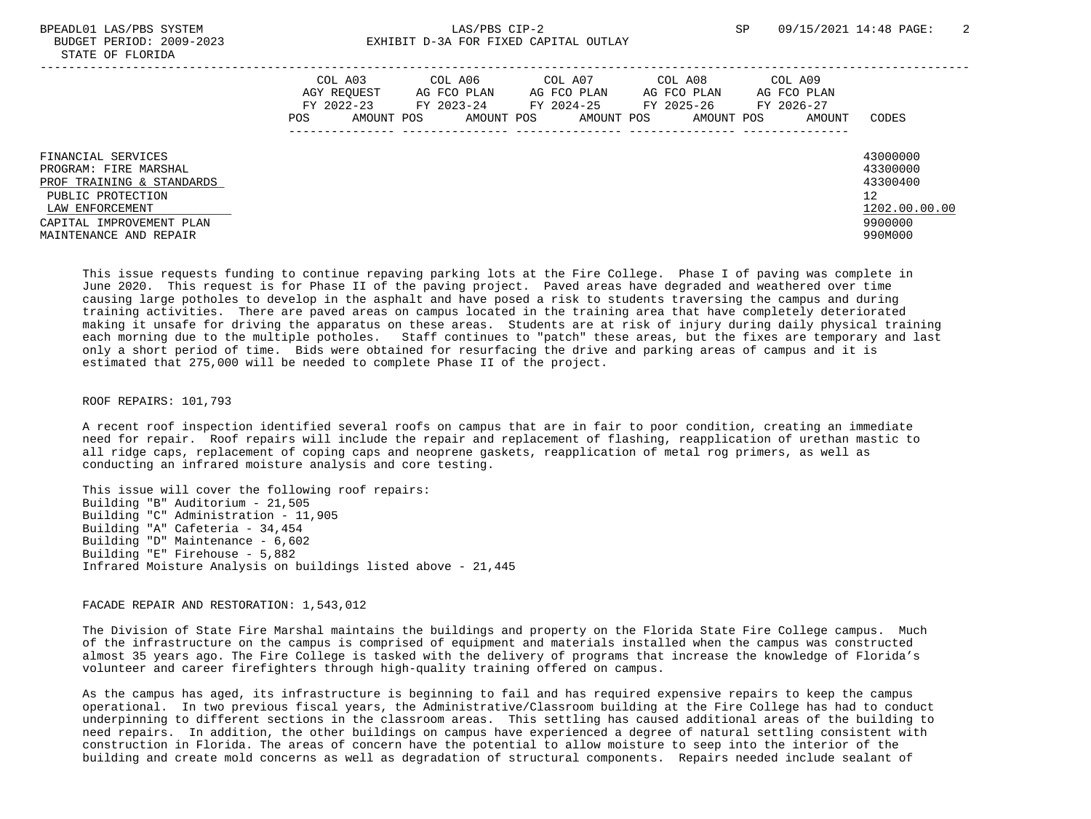STATE OF FLORIDA

|                                                                                                                                                                        | POS | COL A03<br>AGY REQUEST<br>FY 2022-23<br>AMOUNT POS | COL A06<br>AG FCO PLAN<br>FY 2023-24<br>AMOUNT POS | COL A07<br>AG FCO PLAN<br>FY 2024-25<br>AMOUNT POS | COL A08<br>AG FCO PLAN<br>FY 2025-26<br>AMOUNT POS | COL A09<br>AG FCO PLAN<br>FY 2026-27<br>AMOUNT | CODES                                                                         |
|------------------------------------------------------------------------------------------------------------------------------------------------------------------------|-----|----------------------------------------------------|----------------------------------------------------|----------------------------------------------------|----------------------------------------------------|------------------------------------------------|-------------------------------------------------------------------------------|
| FINANCIAL SERVICES<br>PROGRAM: FIRE MARSHAL<br>PROF TRAINING & STANDARDS<br>PUBLIC PROTECTION<br>LAW ENFORCEMENT<br>CAPITAL IMPROVEMENT PLAN<br>MAINTENANCE AND REPAIR |     |                                                    |                                                    |                                                    |                                                    |                                                | 43000000<br>43300000<br>43300400<br>12<br>1202.00.00.00<br>9900000<br>990M000 |

 This issue requests funding to continue repaving parking lots at the Fire College. Phase I of paving was complete in June 2020. This request is for Phase II of the paving project. Paved areas have degraded and weathered over time causing large potholes to develop in the asphalt and have posed a risk to students traversing the campus and during training activities. There are paved areas on campus located in the training area that have completely deteriorated making it unsafe for driving the apparatus on these areas. Students are at risk of injury during daily physical training each morning due to the multiple potholes. Staff continues to "patch" these areas, but the fixes are temporary and last only a short period of time. Bids were obtained for resurfacing the drive and parking areas of campus and it is estimated that 275,000 will be needed to complete Phase II of the project.

#### ROOF REPAIRS: 101,793

 A recent roof inspection identified several roofs on campus that are in fair to poor condition, creating an immediate need for repair. Roof repairs will include the repair and replacement of flashing, reapplication of urethan mastic to all ridge caps, replacement of coping caps and neoprene gaskets, reapplication of metal rog primers, as well as conducting an infrared moisture analysis and core testing.

 This issue will cover the following roof repairs: Building "B" Auditorium - 21,505 Building "C" Administration - 11,905 Building "A" Cafeteria - 34,454 Building "D" Maintenance - 6,602 Building "E" Firehouse - 5,882 Infrared Moisture Analysis on buildings listed above - 21,445

#### FACADE REPAIR AND RESTORATION: 1,543,012

 The Division of State Fire Marshal maintains the buildings and property on the Florida State Fire College campus. Much of the infrastructure on the campus is comprised of equipment and materials installed when the campus was constructed almost 35 years ago. The Fire College is tasked with the delivery of programs that increase the knowledge of Florida's volunteer and career firefighters through high-quality training offered on campus.

 As the campus has aged, its infrastructure is beginning to fail and has required expensive repairs to keep the campus operational. In two previous fiscal years, the Administrative/Classroom building at the Fire College has had to conduct underpinning to different sections in the classroom areas. This settling has caused additional areas of the building to need repairs. In addition, the other buildings on campus have experienced a degree of natural settling consistent with construction in Florida. The areas of concern have the potential to allow moisture to seep into the interior of the building and create mold concerns as well as degradation of structural components. Repairs needed include sealant of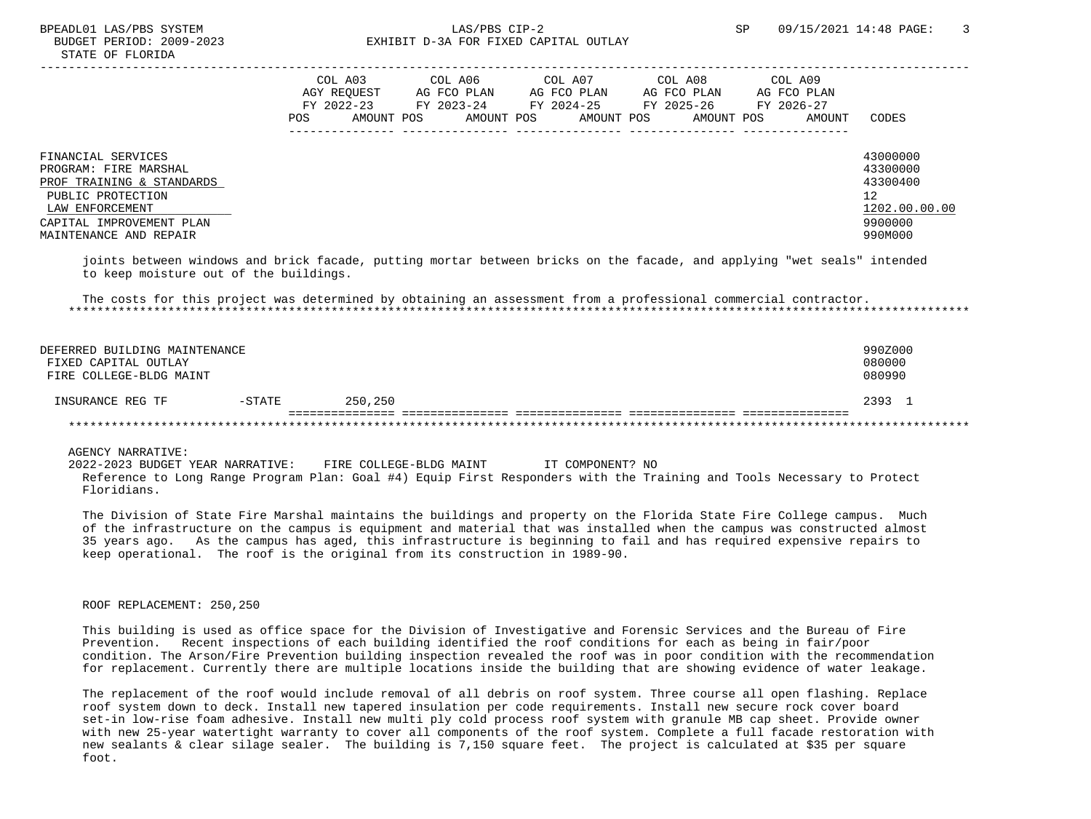STATE OF FLORIDA

# BUDGET PERIOD: 2009-2023 EXHIBIT D-3A FOR FIXED CAPITAL OUTLAY

|                                                                                                                                                                        | COL A03<br>AGY REOUEST<br>FY 2022-23<br>POS | COL A06<br>AG FCO PLAN<br>FY 2023-24<br>AMOUNT POS<br>AMOUNT POS | COL A07<br>AG FCO PLAN<br>FY 2024-25<br>AMOUNT POS | COL A08<br>AG FCO PLAN<br>FY 2025-26<br>AMOUNT POS | COL A09<br>AG FCO PLAN<br>FY 2026-27<br>AMOUNT | CODES                                                                         |
|------------------------------------------------------------------------------------------------------------------------------------------------------------------------|---------------------------------------------|------------------------------------------------------------------|----------------------------------------------------|----------------------------------------------------|------------------------------------------------|-------------------------------------------------------------------------------|
| FINANCIAL SERVICES<br>PROGRAM: FIRE MARSHAL<br>PROF TRAINING & STANDARDS<br>PUBLIC PROTECTION<br>LAW ENFORCEMENT<br>CAPITAL IMPROVEMENT PLAN<br>MAINTENANCE AND REPAIR |                                             |                                                                  |                                                    |                                                    |                                                | 43000000<br>43300000<br>43300400<br>12<br>1202.00.00.00<br>9900000<br>990M000 |

 joints between windows and brick facade, putting mortar between bricks on the facade, and applying "wet seals" intended to keep moisture out of the buildings.

 The costs for this project was determined by obtaining an assessment from a professional commercial contractor. \*\*\*\*\*\*\*\*\*\*\*\*\*\*\*\*\*\*\*\*\*\*\*\*\*\*\*\*\*\*\*\*\*\*\*\*\*\*\*\*\*\*\*\*\*\*\*\*\*\*\*\*\*\*\*\*\*\*\*\*\*\*\*\*\*\*\*\*\*\*\*\*\*\*\*\*\*\*\*\*\*\*\*\*\*\*\*\*\*\*\*\*\*\*\*\*\*\*\*\*\*\*\*\*\*\*\*\*\*\*\*\*\*\*\*\*\*\*\*\*\*\*\*\*\*\*\*

| DEFERRED BUILDING MAINTENANCE<br>FIXED CAPITAL OUTLAY<br>FIRE COLLEGE-BLDG MAINT |          |         | 990Z000<br>080000<br>080990 |
|----------------------------------------------------------------------------------|----------|---------|-----------------------------|
| INSURANCE REG TF                                                                 | $-STATE$ | 250,250 | 2393                        |
|                                                                                  |          |         |                             |

### AGENCY NARRATIVE:

 2022-2023 BUDGET YEAR NARRATIVE: FIRE COLLEGE-BLDG MAINT IT COMPONENT? NO Reference to Long Range Program Plan: Goal #4) Equip First Responders with the Training and Tools Necessary to Protect Floridians.

 The Division of State Fire Marshal maintains the buildings and property on the Florida State Fire College campus. Much of the infrastructure on the campus is equipment and material that was installed when the campus was constructed almost 35 years ago. As the campus has aged, this infrastructure is beginning to fail and has required expensive repairs to keep operational. The roof is the original from its construction in 1989-90.

#### ROOF REPLACEMENT: 250,250

 This building is used as office space for the Division of Investigative and Forensic Services and the Bureau of Fire Prevention. Recent inspections of each building identified the roof conditions for each as being in fair/poor condition. The Arson/Fire Prevention building inspection revealed the roof was in poor condition with the recommendation for replacement. Currently there are multiple locations inside the building that are showing evidence of water leakage.

 The replacement of the roof would include removal of all debris on roof system. Three course all open flashing. Replace roof system down to deck. Install new tapered insulation per code requirements. Install new secure rock cover board set-in low-rise foam adhesive. Install new multi ply cold process roof system with granule MB cap sheet. Provide owner with new 25-year watertight warranty to cover all components of the roof system. Complete a full facade restoration with new sealants & clear silage sealer. The building is 7,150 square feet. The project is calculated at \$35 per square foot.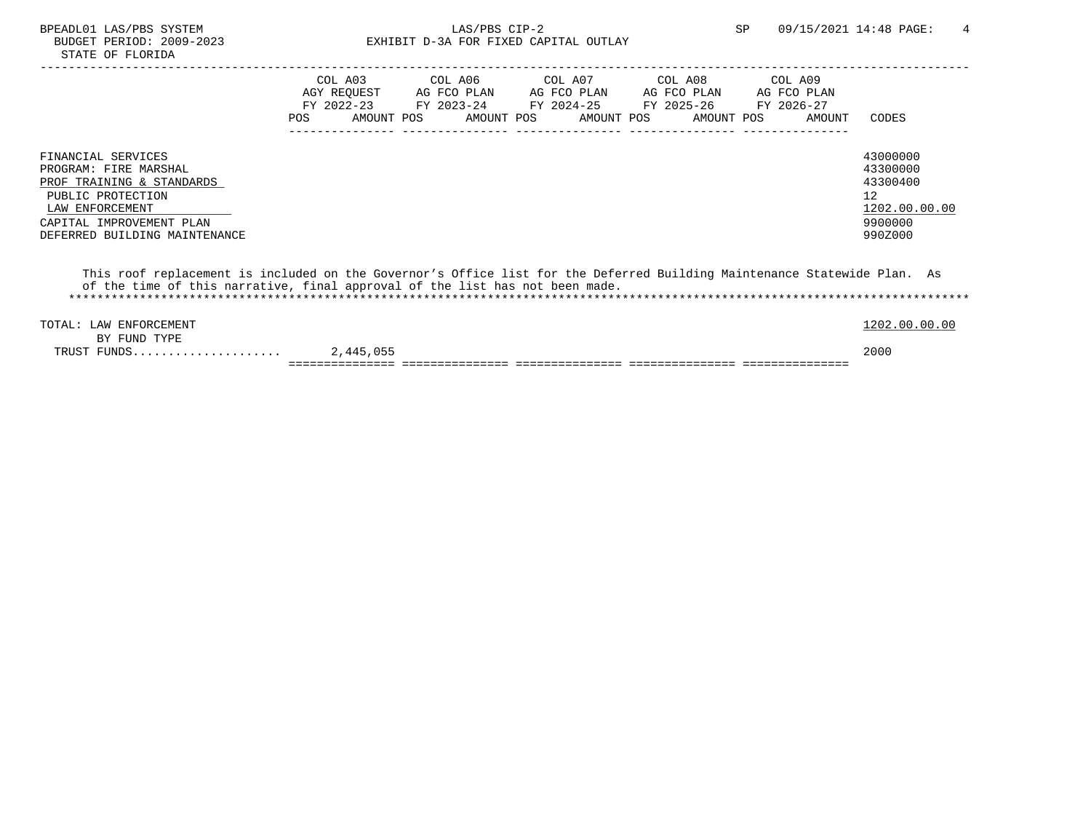|                                                                              |                    | COL A03<br>AGY REOUEST | COL A06<br>AG FCO PLAN   | COL A07<br>AG FCO PLAN   | COL A08<br>AG FCO PLAN |            | COL A09<br>AG FCO PLAN |                                     |
|------------------------------------------------------------------------------|--------------------|------------------------|--------------------------|--------------------------|------------------------|------------|------------------------|-------------------------------------|
|                                                                              | FY 2022-23<br>POS. | AMOUNT POS             | FY 2023-24<br>AMOUNT POS | FY 2024-25<br>AMOUNT POS | FY 2025-26             | AMOUNT POS | FY 2026-27<br>AMOUNT   | CODES                               |
| FINANCIAL SERVICES<br>PROGRAM: FIRE MARSHAL                                  |                    |                        |                          |                          |                        |            |                        | 43000000<br>43300000                |
| PROF TRAINING & STANDARDS<br>PUBLIC PROTECTION                               |                    |                        |                          |                          |                        |            |                        | 43300400<br>12                      |
| LAW ENFORCEMENT<br>CAPITAL IMPROVEMENT PLAN<br>DEFERRED BUILDING MAINTENANCE |                    |                        |                          |                          |                        |            |                        | 1202.00.00.00<br>9900000<br>990Z000 |

| TRUST FUNDS            | 2,445,055                                                                    | 2000          |
|------------------------|------------------------------------------------------------------------------|---------------|
| BY FUND TYPE           |                                                                              |               |
| TOTAL: LAW ENFORCEMENT |                                                                              | 1202.00.00.00 |
|                        |                                                                              |               |
|                        | of the time of this narrative, final approval of the list has not been made. |               |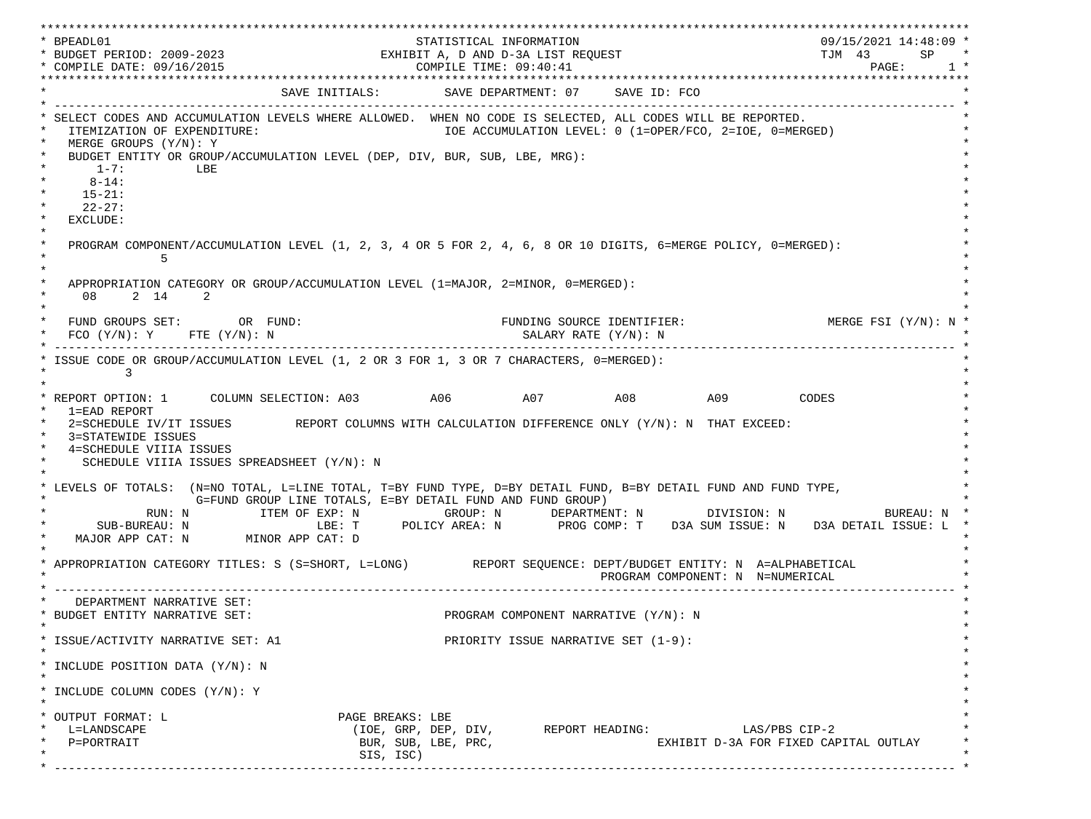\*\*\*\*\*\*\*\*\*\*\*\*\*\*\*\*\*\*\*\*\*\*\*\*\*\*\*\*\*\*\*\*\*\*\*\*\*\*\*\*\*\*\*\*\*\*\*\*\*\*\*\*\*\*\*\*\*\*\*\*\*\*\*\*\*\*\*\*\*\*\*\*\*\*\*\*\*\*\*\*\*\*\*\*\*\*\*\*\*\*\*\*\*\*\*\*\*\*\*\*\*\*\*\*\*\*\*\*\*\*\*\*\*\*\*\*\*\*\*\*\*\*\*\*\*\*\*\*\*\*\* \* BPEADL01 STATISTICAL INFORMATION 09/15/2021 14:48:09 \* \* BUDGET PERIOD: 2009-2023 EXHIBIT A, D AND D-3A LIST REQUEST TJM 43 SP \* \* COMPILE DATE: 09/16/2015 COMPILE TIME: 09:40:41 PAGE: 1 \* \*\*\*\*\*\*\*\*\*\*\*\*\*\*\*\*\*\*\*\*\*\*\*\*\*\*\*\*\*\*\*\*\*\*\*\*\*\*\*\*\*\*\*\*\*\*\*\*\*\*\*\*\*\*\*\*\*\*\*\*\*\*\*\*\*\*\*\*\*\*\*\*\*\*\*\*\*\*\*\*\*\*\*\*\*\*\*\*\*\*\*\*\*\*\*\*\*\*\*\*\*\*\*\*\*\*\*\*\*\*\*\*\*\*\*\*\*\*\*\*\*\*\*\*\*\*\*\*\*\*\* SAVE INITIALS: SAVE DEPARTMENT: 07 SAVE ID: FCO \* ------------------------------------------------------------------------------------------------------------------------------- \* SELECT CODES AND ACCUMULATION LEVELS WHERE ALLOWED. WHEN NO CODE IS SELECTED, ALL CODES WILL BE REPORTED. ITEMIZATION OF EXPENDITURE:  $\overline{10E}$  accumulation level: 0 (1=OPER/FCO, 2=IOE, 0=MERGED) MERGE GROUPS (Y/N): Y BUDGET ENTITY OR GROUP/ACCUMULATION LEVEL (DEP, DIV, BUR, SUB, LBE, MRG):  $*$  1-7: LBE  $*$  $*$  8-14:  $*$  $*$  15-21:  $*$  $*$  22-27: \* \* EXCLUDE: \*  $\star$   $\star$  \* PROGRAM COMPONENT/ACCUMULATION LEVEL (1, 2, 3, 4 OR 5 FOR 2, 4, 6, 8 OR 10 DIGITS, 6=MERGE POLICY, 0=MERGED): \*  $\star$  5  $\star$  $\star$   $\star$ APPROPRIATION CATEGORY OR GROUP/ACCUMULATION LEVEL (1=MAJOR, 2=MINOR, 0=MERGED):  $\star$  08 2 14 2  $\star$  $\star$   $\star$ FUND GROUPS SET: OR FUND: THE SOURCE IDENTIFIER: MERGE FSI (Y/N): N  $FCO (Y/N): Y$  FTE  $(Y/N): N$  SALARY RATE  $(Y/N): N$  \* ------------------------------------------------------------------------------------------------------------------------------- \* ISSUE CODE OR GROUP/ACCUMULATION LEVEL (1, 2 OR 3 FOR 1, 3 OR 7 CHARACTERS, 0=MERGED):  $\star$  3  $\star$  $\star$   $\star$ \* REPORT OPTION: 1 COLUMN SELECTION: A03 A06 A07 A08 A09 CODES \* 1=EAD REPORT \* 2=SCHEDULE IV/IT ISSUES REPORT COLUMNS WITH CALCULATION DIFFERENCE ONLY (Y/N): N THAT EXCEED: 3=STATEWIDE ISSUES 4=SCHEDULE VIIIA ISSUES SCHEDULE VIIIA ISSUES SPREADSHEET (Y/N): N \* \* \* LEVELS OF TOTALS: (N=NO TOTAL, L=LINE TOTAL, T=BY FUND TYPE, D=BY DETAIL FUND, B=BY DETAIL FUND AND FUND TYPE, \* G=FUND GROUP LINE TOTALS, E=BY DETAIL FUND AND FUND GROUP) \* RUN: N ITEM OF EXP: N GROUP: N DEPARTMENT: N DIVISION: N BUREAU: N \* \* SUB-BUREAU: N LBE: T POLICY AREA: N PROG COMP: T D3A SUM ISSUE: N D3A DETAIL ISSUE: L \* MAJOR APP CAT: N MINOR APP CAT: D \* \* APPROPRIATION CATEGORY TITLES: S (S=SHORT, L=LONG) REPORT SEQUENCE: DEPT/BUDGET ENTITY: N A=ALPHABETICAL PROGRAM COMPONENT: N N=NUMERICAL \* ------------------------------------------------------------------------------------------------------------------------------- \* DEPARTMENT NARRATIVE SET:<br>BUDGET ENTITY NARRATIVE SET: PROGRAM COMPONENT NARRATIVE (Y/N): N \* \* \* ISSUE/ACTIVITY NARRATIVE SET: A1 PRIORITY ISSUE NARRATIVE SET (1-9): \*  $\star$   $\star$  \* INCLUDE POSITION DATA (Y/N): N \* \* \* INCLUDE COLUMN CODES  $(Y/N): Y$  \* \* \* OUTPUT FORMAT: L PAGE BREAKS: LBE \* \* L=LANDSCAPE (IOE, GRP, DEP, DIV, REPORT HEADING: LAS/PBS CIP-2 \* \* P=PORTRAIT BUR, SUB, LBE, PRC, EXHIBIT D-3A FOR FIXED CAPITAL OUTLAY \* \* SIS, ISC) \* \* ------------------------------------------------------------------------------------------------------------------------------- \*